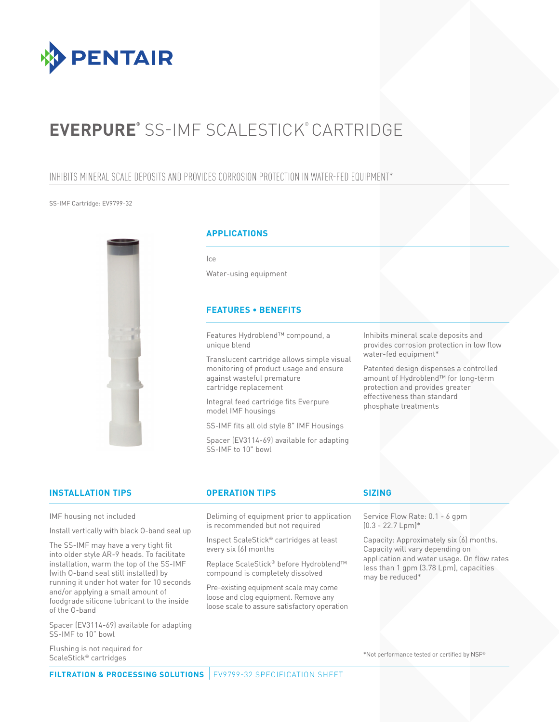

# **EVERPURE®** SS-IMF SCALESTICK® CARTRIDGE

# INHIBITS MINERAL SCALE DEPOSITS AND PROVIDES CORROSION PROTECTION IN WATER-FED EQUIPMENT\*

### SS-IMF Cartridge: EV9799-32



### **APPLICATIONS**

Ice

Water-using equipment

## **FEATURES • BENEFITS**

Features Hydroblend™ compound, a unique blend

Translucent cartridge allows simple visual monitoring of product usage and ensure against wasteful premature cartridge replacement

Integral feed cartridge fits Everpure model IMF housings

SS-IMF fits all old style 8" IMF Housings

Spacer (EV3114-69) available for adapting SS-IMF to 10" bowl

Inhibits mineral scale deposits and provides corrosion protection in low flow water-fed equipment\*

Patented design dispenses a controlled amount of Hydroblend™ for long-term protection and provides greater effectiveness than standard phosphate treatments

## **INSTALLATION TIPS OPERATION TIPS SIZING**

IMF housing not included

Install vertically with black O-band seal up

The SS-IMF may have a very tight fit into older style AR-9 heads. To facilitate installation, warm the top of the SS-IMF (with O-band seal still installed) by running it under hot water for 10 seconds and/or applying a small amount of foodgrade silicone lubricant to the inside of the O-band

Spacer (EV3114-69) available for adapting SS-IMF to 10" bowl

Flushing is not required for ScaleStick® cartridges

Deliming of equipment prior to application is recommended but not required

Inspect ScaleStick® cartridges at least every six (6) months

Replace ScaleStick® before Hydroblend™ compound is completely dissolved

Pre-existing equipment scale may come loose and clog equipment. Remove any loose scale to assure satisfactory operation

Service Flow Rate: 0.1 - 6 gpm  $(0.3 - 22.7$  Lpm $)*$ 

Capacity: Approximately six (6) months. Capacity will vary depending on application and water usage. On flow rates less than 1 gpm (3.78 Lpm), capacities may be reduced\*

\*Not performance tested or certified by NSF®